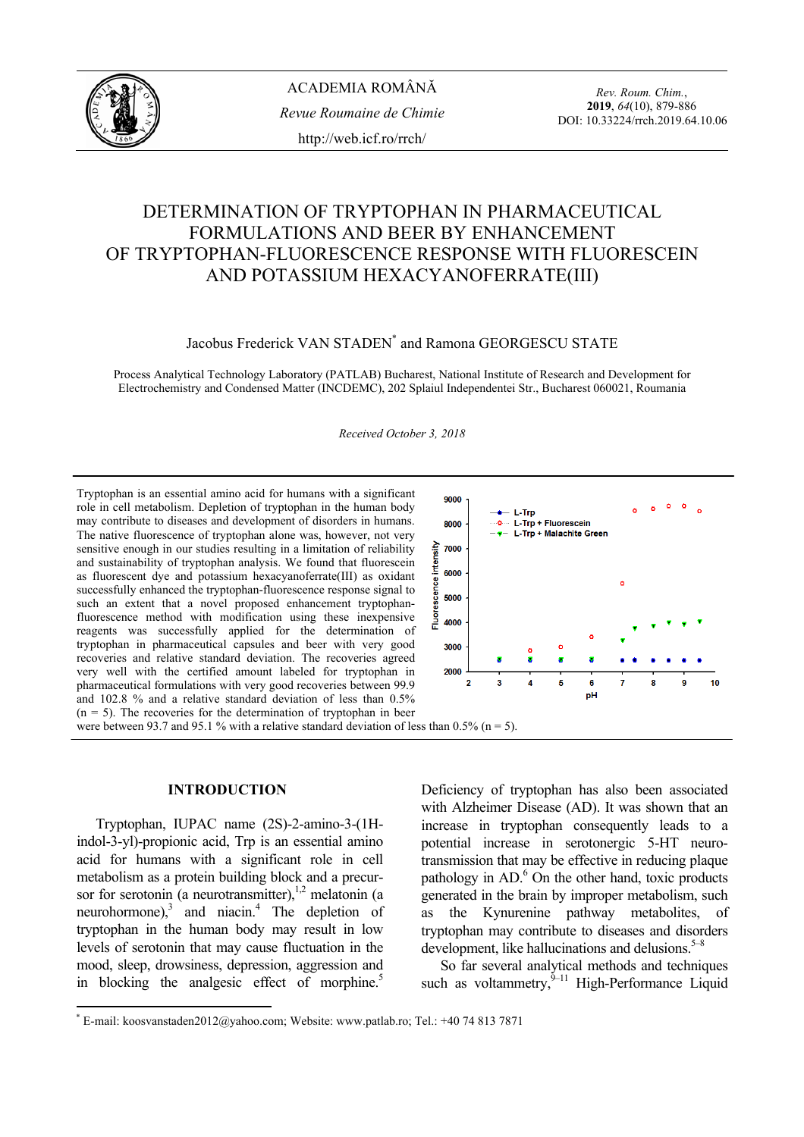

# DETERMINATION OF TRYPTOPHAN IN PHARMACEUTICAL FORMULATIONS AND BEER BY ENHANCEMENT OF TRYPTOPHAN-FLUORESCENCE RESPONSE WITH FLUORESCEIN AND POTASSIUM HEXACYANOFERRATE(III)

Jacobus Frederick VAN STADEN<sup>\*</sup> and Ramona GEORGESCU STATE

Process Analytical Technology Laboratory (PATLAB) Bucharest, National Institute of Research and Development for Electrochemistry and Condensed Matter (INCDEMC), 202 Splaiul Independentei Str., Bucharest 060021, Roumania

*Received October 3, 2018* 

Tryptophan is an essential amino acid for humans with a significant role in cell metabolism. Depletion of tryptophan in the human body may contribute to diseases and development of disorders in humans. The native fluorescence of tryptophan alone was, however, not very ٨i sensitive enough in our studies resulting in a limitation of reliability and sustainability of tryptophan analysis. We found that fluorescein Ē as fluorescent dye and potassium hexacyanoferrate(III) as oxidant scence successfully enhanced the tryptophan-fluorescence response signal to such an extent that a novel proposed enhancement tryptophanfluorescence method with modification using these inexpensive 흝 reagents was successfully applied for the determination of tryptophan in pharmaceutical capsules and beer with very good recoveries and relative standard deviation. The recoveries agreed very well with the certified amount labeled for tryptophan in pharmaceutical formulations with very good recoveries between 99.9 and 102.8 % and a relative standard deviation of less than 0.5%  $(n = 5)$ . The recoveries for the determination of tryptophan in beer were between 93.7 and 95.1 % with a relative standard deviation of less than 0.5% ( $n = 5$ ).



# **INTRODUCTION\***

 Tryptophan, IUPAC name (2S)-2-amino-3-(1Hindol-3-yl)-propionic acid, Trp is an essential amino acid for humans with a significant role in cell metabolism as a protein building block and a precursor for serotonin (a neurotransmitter), $\frac{1}{2}$  melatonin (a neurohormone), $3$  and niacin.<sup>4</sup> The depletion of tryptophan in the human body may result in low levels of serotonin that may cause fluctuation in the mood, sleep, drowsiness, depression, aggression and in blocking the analgesic effect of morphine.<sup>5</sup>

Deficiency of tryptophan has also been associated with Alzheimer Disease (AD). It was shown that an increase in tryptophan consequently leads to a potential increase in serotonergic 5-HT neurotransmission that may be effective in reducing plaque pathology in AD.<sup>6</sup> On the other hand, toxic products generated in the brain by improper metabolism, such as the Kynurenine pathway metabolites, of tryptophan may contribute to diseases and disorders development, like hallucinations and delusions.  $5-8$ 

 So far several analytical methods and techniques such as voltammetry, ${}^{9-11}$  High-Performance Liquid

<sup>\*</sup> E-mail: koosvanstaden2012@yahoo.com; Website: www.patlab.ro; Tel.: +40 74 813 7871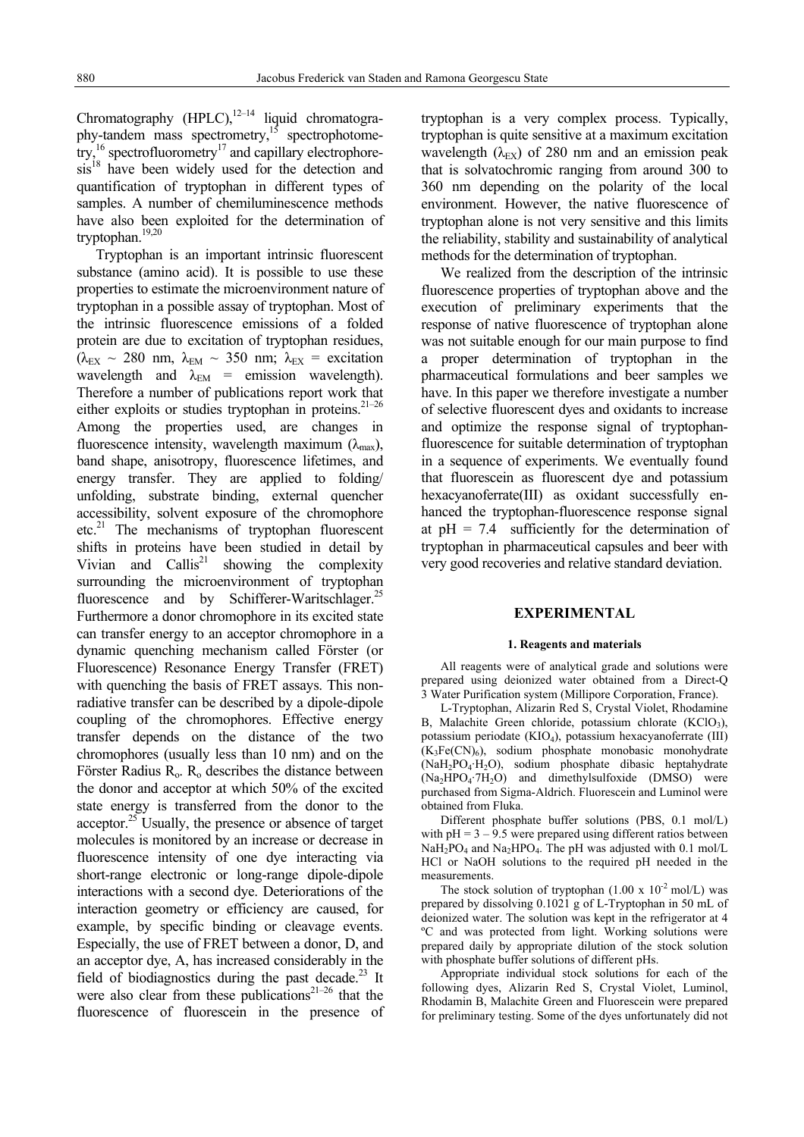Chromatography (HPLC), $^{12-14}$  liquid chromatography-tandem mass spectrometry,15 spectrophotometry,<sup>16</sup> spectrofluorometry<sup>17</sup> and capillary electrophore $sis<sup>18</sup>$  have been widely used for the detection and quantification of tryptophan in different types of samples. A number of chemiluminescence methods have also been exploited for the determination of tryptophan.19,20

 Tryptophan is an important intrinsic fluorescent substance (amino acid). It is possible to use these properties to estimate the microenvironment nature of tryptophan in a possible assay of tryptophan. Most of the intrinsic fluorescence emissions of a folded protein are due to excitation of tryptophan residues,  $(\lambda_{EX} \sim 280$  nm,  $\lambda_{EM} \sim 350$  nm;  $\lambda_{EX} =$  excitation wavelength and  $\lambda_{EM}$  = emission wavelength). Therefore a number of publications report work that either exploits or studies tryptophan in proteins.<sup>21–26</sup> Among the properties used, are changes in fluorescence intensity, wavelength maximum  $(\lambda_{\text{max}})$ , band shape, anisotropy, fluorescence lifetimes, and energy transfer. They are applied to folding/ unfolding, substrate binding, external quencher accessibility, solvent exposure of the chromophore  $etc.<sup>21</sup>$  The mechanisms of tryptophan fluorescent shifts in proteins have been studied in detail by Vivian and Callis<sup>21</sup> showing the complexity surrounding the microenvironment of tryptophan fluorescence and by Schifferer-Waritschlager.<sup>25</sup> Furthermore a donor chromophore in its excited state can transfer energy to an acceptor chromophore in a dynamic quenching mechanism called Förster (or Fluorescence) Resonance Energy Transfer (FRET) with quenching the basis of FRET assays. This nonradiative transfer can be described by a dipole-dipole coupling of the chromophores. Effective energy transfer depends on the distance of the two chromophores (usually less than 10 nm) and on the Förster Radius  $R_0$ .  $R_0$  describes the distance between the donor and acceptor at which 50% of the excited state energy is transferred from the donor to the acceptor. $^{25}$  Usually, the presence or absence of target molecules is monitored by an increase or decrease in fluorescence intensity of one dye interacting via short-range electronic or long-range dipole-dipole interactions with a second dye. Deteriorations of the interaction geometry or efficiency are caused, for example, by specific binding or cleavage events. Especially, the use of FRET between a donor, D, and an acceptor dye, A, has increased considerably in the field of biodiagnostics during the past decade. $^{23}$  It were also clear from these publications<sup>21-26</sup> that the fluorescence of fluorescein in the presence of tryptophan is a very complex process. Typically, tryptophan is quite sensitive at a maximum excitation wavelength  $(\lambda_{EX})$  of 280 nm and an emission peak that is solvatochromic ranging from around 300 to 360 nm depending on the polarity of the local environment. However, the native fluorescence of tryptophan alone is not very sensitive and this limits the reliability, stability and sustainability of analytical methods for the determination of tryptophan.

 We realized from the description of the intrinsic fluorescence properties of tryptophan above and the execution of preliminary experiments that the response of native fluorescence of tryptophan alone was not suitable enough for our main purpose to find a proper determination of tryptophan in the pharmaceutical formulations and beer samples we have. In this paper we therefore investigate a number of selective fluorescent dyes and oxidants to increase and optimize the response signal of tryptophanfluorescence for suitable determination of tryptophan in a sequence of experiments. We eventually found that fluorescein as fluorescent dye and potassium hexacyanoferrate(III) as oxidant successfully enhanced the tryptophan-fluorescence response signal at  $pH = 7.4$  sufficiently for the determination of tryptophan in pharmaceutical capsules and beer with very good recoveries and relative standard deviation.

## **EXPERIMENTAL**

#### **1. Reagents and materials**

 All reagents were of analytical grade and solutions were prepared using deionized water obtained from a Direct-Q 3 Water Purification system (Millipore Corporation, France).

 L-Tryptophan, Alizarin Red S, Crystal Violet, Rhodamine B, Malachite Green chloride, potassium chlorate  $(KClO<sub>3</sub>)$ , potassium periodate (KIO4), potassium hexacyanoferrate (III)  $(K<sub>3</sub>Fe(CN)<sub>6</sub>)$ , sodium phosphate monobasic monohydrate (NaH2PO4·H2O), sodium phosphate dibasic heptahydrate  $(Na<sub>2</sub>HPO<sub>4</sub>·7H<sub>2</sub>O)$  and dimethylsulfoxide (DMSO) were purchased from Sigma-Aldrich. Fluorescein and Luminol were obtained from Fluka.

 Different phosphate buffer solutions (PBS, 0.1 mol/L) with  $pH = 3 - 9.5$  were prepared using different ratios between  $NaH<sub>2</sub>PO<sub>4</sub>$  and  $Na<sub>2</sub>HPO<sub>4</sub>$ . The pH was adjusted with 0.1 mol/L HCl or NaOH solutions to the required pH needed in the measurements.

The stock solution of tryptophan  $(1.00 \times 10^{-2} \text{ mol/L})$  was prepared by dissolving 0.1021 g of L-Tryptophan in 50 mL of deionized water. The solution was kept in the refrigerator at 4 ºC and was protected from light. Working solutions were prepared daily by appropriate dilution of the stock solution with phosphate buffer solutions of different pHs.

 Appropriate individual stock solutions for each of the following dyes, Alizarin Red S, Crystal Violet, Luminol, Rhodamin B, Malachite Green and Fluorescein were prepared for preliminary testing. Some of the dyes unfortunately did not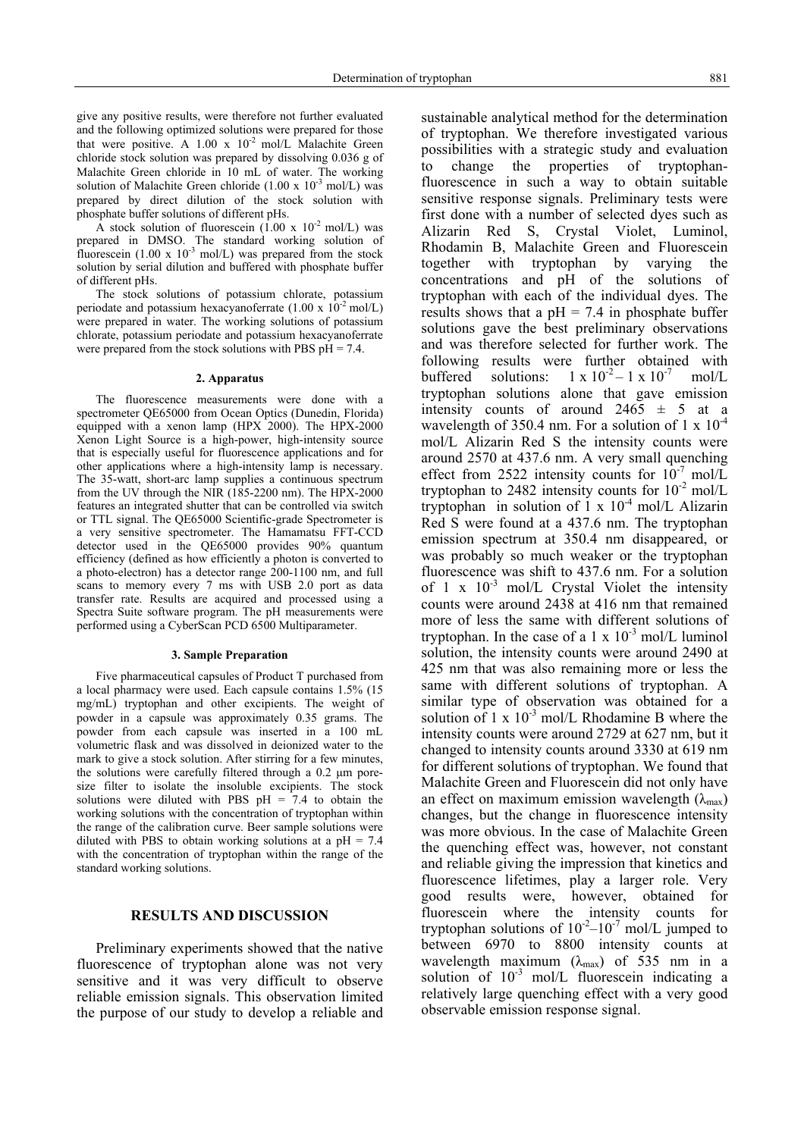give any positive results, were therefore not further evaluated and the following optimized solutions were prepared for those that were positive. A  $1.00 \times 10^{-2}$  mol/L Malachite Green chloride stock solution was prepared by dissolving 0.036 g of Malachite Green chloride in 10 mL of water. The working solution of Malachite Green chloride (1.00 x  $10^{-3}$  mol/L) was prepared by direct dilution of the stock solution with phosphate buffer solutions of different pHs.

A stock solution of fluorescein  $(1.00 \times 10^{-2} \text{ mol/L})$  was prepared in DMSO. The standard working solution of fluorescein (1.00 x  $10^{-3}$  mol/L) was prepared from the stock solution by serial dilution and buffered with phosphate buffer of different pHs.

 The stock solutions of potassium chlorate, potassium periodate and potassium hexacyanoferrate  $(1.00 \times 10^{-2} \text{ mol/L})$ were prepared in water. The working solutions of potassium chlorate, potassium periodate and potassium hexacyanoferrate were prepared from the stock solutions with PBS  $pH = 7.4$ .

#### **2. Apparatus**

 The fluorescence measurements were done with a spectrometer QE65000 from Ocean Optics (Dunedin, Florida) equipped with a xenon lamp (HPX 2000). The HPX-2000 Xenon Light Source is a high-power, high-intensity source that is especially useful for fluorescence applications and for other applications where a high-intensity lamp is necessary. The 35-watt, short-arc lamp supplies a continuous spectrum from the UV through the NIR  $(185-2200 \text{ nm})$ . The HPX-2000 features an integrated shutter that can be controlled via switch or TTL signal. The QE65000 Scientific-grade Spectrometer is a very sensitive spectrometer. The Hamamatsu FFT-CCD detector used in the QE65000 provides 90% quantum efficiency (defined as how efficiently a photon is converted to a photo-electron) has a detector range 200-1100 nm, and full scans to memory every 7 ms with USB 2.0 port as data transfer rate. Results are acquired and processed using a Spectra Suite software program. The pH measurements were performed using a CyberScan PCD 6500 Multiparameter.

#### **3. Sample Preparation**

 Five pharmaceutical capsules of Product T purchased from a local pharmacy were used. Each capsule contains 1.5% (15 mg/mL) tryptophan and other excipients. The weight of powder in a capsule was approximately 0.35 grams. The powder from each capsule was inserted in a 100 mL volumetric flask and was dissolved in deionized water to the mark to give a stock solution. After stirring for a few minutes, the solutions were carefully filtered through a 0.2 μm poresize filter to isolate the insoluble excipients. The stock solutions were diluted with PBS  $pH = 7.4$  to obtain the working solutions with the concentration of tryptophan within the range of the calibration curve. Beer sample solutions were diluted with PBS to obtain working solutions at a  $pH = 7.4$ with the concentration of tryptophan within the range of the standard working solutions.

# **RESULTS AND DISCUSSION**

 Preliminary experiments showed that the native fluorescence of tryptophan alone was not very sensitive and it was very difficult to observe reliable emission signals. This observation limited the purpose of our study to develop a reliable and sustainable analytical method for the determination of tryptophan. We therefore investigated various possibilities with a strategic study and evaluation to change the properties of tryptophanfluorescence in such a way to obtain suitable sensitive response signals. Preliminary tests were first done with a number of selected dyes such as Alizarin Red S, Crystal Violet, Luminol, Rhodamin B, Malachite Green and Fluorescein together with tryptophan by varying the concentrations and pH of the solutions of tryptophan with each of the individual dyes. The results shows that a  $pH = 7.4$  in phosphate buffer solutions gave the best preliminary observations and was therefore selected for further work. The following results were further obtained with buffered solutions:  $1 \times 10^{-2} - 1 \times 10^{-7}$  mol/L tryptophan solutions alone that gave emission intensity counts of around  $2465 \pm 5$  at a wavelength of 350.4 nm. For a solution of 1 x  $10^{-4}$ mol/L Alizarin Red S the intensity counts were around 2570 at 437.6 nm. A very small quenching effect from 2522 intensity counts for  $10^{-7}$  mol/L tryptophan to 2482 intensity counts for  $10^{-2}$  mol/L tryptophan in solution of  $1 \times 10^{-4}$  mol/L Alizarin Red S were found at a 437.6 nm. The tryptophan emission spectrum at 350.4 nm disappeared, or was probably so much weaker or the tryptophan fluorescence was shift to 437.6 nm. For a solution of 1 x  $10^{-3}$  mol/L Crystal Violet the intensity counts were around 2438 at 416 nm that remained more of less the same with different solutions of tryptophan. In the case of a 1 x  $10^{-3}$  mol/L luminol solution, the intensity counts were around 2490 at 425 nm that was also remaining more or less the same with different solutions of tryptophan. A similar type of observation was obtained for a solution of 1 x  $10^{-3}$  mol/L Rhodamine B where the intensity counts were around 2729 at 627 nm, but it changed to intensity counts around 3330 at 619 nm for different solutions of tryptophan. We found that Malachite Green and Fluorescein did not only have an effect on maximum emission wavelength  $(\lambda_{\text{max}})$ changes, but the change in fluorescence intensity was more obvious. In the case of Malachite Green the quenching effect was, however, not constant and reliable giving the impression that kinetics and fluorescence lifetimes, play a larger role. Very good results were, however, obtained for fluorescein where the intensity counts for tryptophan solutions of  $10^{-2}$ – $10^{-7}$  mol/L jumped to between 6970 to 8800 intensity counts at wavelength maximum  $(\lambda_{\text{max}})$  of 535 nm in a solution of  $10^{-3}$  mol/L fluorescein indicating a relatively large quenching effect with a very good observable emission response signal.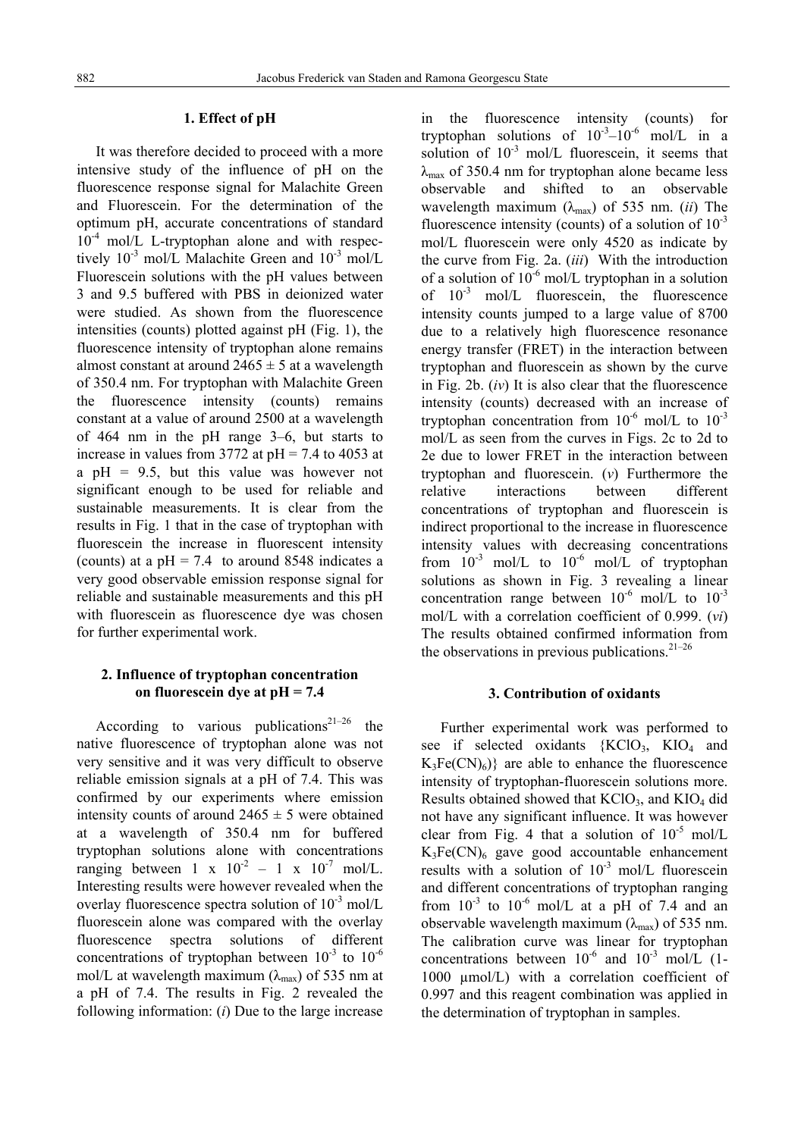# **1. Effect of pH**

 It was therefore decided to proceed with a more intensive study of the influence of pH on the fluorescence response signal for Malachite Green and Fluorescein. For the determination of the optimum pH, accurate concentrations of standard  $10^{-4}$  mol/L L-tryptophan alone and with respectively 10<sup>-3</sup> mol/L Malachite Green and 10<sup>-3</sup> mol/L Fluorescein solutions with the pH values between 3 and 9.5 buffered with PBS in deionized water were studied. As shown from the fluorescence intensities (counts) plotted against pH (Fig. 1), the fluorescence intensity of tryptophan alone remains almost constant at around  $2465 \pm 5$  at a wavelength of 350.4 nm. For tryptophan with Malachite Green the fluorescence intensity (counts) remains constant at a value of around 2500 at a wavelength of 464 nm in the pH range 3–6, but starts to increase in values from 3772 at  $pH = 7.4$  to 4053 at a  $pH = 9.5$ , but this value was however not significant enough to be used for reliable and sustainable measurements. It is clear from the results in Fig. 1 that in the case of tryptophan with fluorescein the increase in fluorescent intensity (counts) at a  $pH = 7.4$  to around 8548 indicates a very good observable emission response signal for reliable and sustainable measurements and this pH with fluorescein as fluorescence dye was chosen for further experimental work.

# **2. Influence of tryptophan concentration on fluorescein dye at pH = 7.4**

According to various publications<sup>21–26</sup> the native fluorescence of tryptophan alone was not very sensitive and it was very difficult to observe reliable emission signals at a pH of 7.4. This was confirmed by our experiments where emission intensity counts of around  $2465 \pm 5$  were obtained at a wavelength of 350.4 nm for buffered tryptophan solutions alone with concentrations ranging between 1 x  $10^{-2}$  – 1 x  $10^{-7}$  mol/L. Interesting results were however revealed when the overlay fluorescence spectra solution of  $10^{-3}$  mol/L fluorescein alone was compared with the overlay fluorescence spectra solutions of different concentrations of tryptophan between  $10^{-3}$  to  $10^{-6}$ mol/L at wavelength maximum ( $\lambda_{\text{max}}$ ) of 535 nm at a pH of 7.4. The results in Fig. 2 revealed the following information: (*i*) Due to the large increase

in the fluorescence intensity (counts) for tryptophan solutions of  $10^{-3}-10^{-6}$  mol/L in a solution of  $10^{-3}$  mol/L fluorescein, it seems that  $\lambda_{\text{max}}$  of 350.4 nm for tryptophan alone became less observable and shifted to an observable wavelength maximum  $(\lambda_{\text{max}})$  of 535 nm. *(ii)* The fluorescence intensity (counts) of a solution of  $10^{-3}$ mol/L fluorescein were only 4520 as indicate by the curve from Fig. 2a. (*iii*) With the introduction of a solution of  $10^{-6}$  mol/L tryptophan in a solution of  $10^{-3}$  mol/L fluorescein, the fluorescence intensity counts jumped to a large value of 8700 due to a relatively high fluorescence resonance energy transfer (FRET) in the interaction between tryptophan and fluorescein as shown by the curve in Fig. 2b. (*iv*) It is also clear that the fluorescence intensity (counts) decreased with an increase of tryptophan concentration from  $10^{-6}$  mol/L to  $10^{-3}$ mol/L as seen from the curves in Figs. 2c to 2d to 2e due to lower FRET in the interaction between tryptophan and fluorescein. (*v*) Furthermore the relative interactions between different concentrations of tryptophan and fluorescein is indirect proportional to the increase in fluorescence intensity values with decreasing concentrations from  $10^{-3}$  mol/L to  $10^{-6}$  mol/L of tryptophan solutions as shown in Fig. 3 revealing a linear concentration range between  $10^{-6}$  mol/L to  $10^{-3}$ mol/L with a correlation coefficient of 0.999. (*vi*) The results obtained confirmed information from the observations in previous publications. $2^{1-26}$ 

# **3. Contribution of oxidants**

 Further experimental work was performed to see if selected oxidants  ${KClO_3}$ ,  ${KIO_4}$  and  $K_3Fe(CN)<sub>6</sub>$ } are able to enhance the fluorescence intensity of tryptophan-fluorescein solutions more. Results obtained showed that  $KClO<sub>3</sub>$ , and  $KIO<sub>4</sub>$  did not have any significant influence. It was however clear from Fig. 4 that a solution of  $10^{-5}$  mol/L  $K_3Fe(CN)_6$  gave good accountable enhancement results with a solution of  $10^{-3}$  mol/L fluorescein and different concentrations of tryptophan ranging from  $10^{-3}$  to  $10^{-6}$  mol/L at a pH of 7.4 and an observable wavelength maximum  $(\lambda_{\text{max}})$  of 535 nm. The calibration curve was linear for tryptophan concentrations between  $10^{-6}$  and  $10^{-3}$  mol/L (1-1000 µmol/L) with a correlation coefficient of 0.997 and this reagent combination was applied in the determination of tryptophan in samples.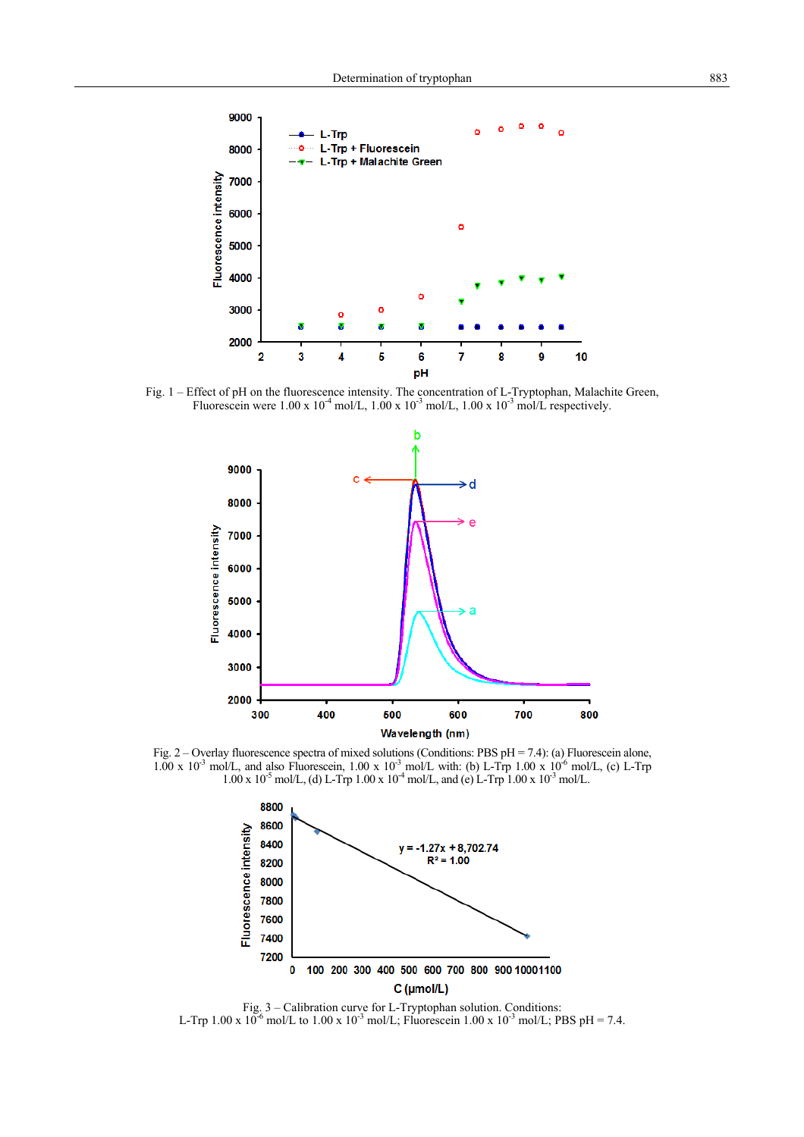

Fig. 1 – Effect of pH on the fluorescence intensity. The concentration of L-Tryptophan, Malachite Green, Fluorescein were  $1.00 \times 10^{-4}$  mol/L,  $1.00 \times 10^{-3}$  mol/L,  $1.00 \times 10^{-3}$  mol/L respectively.



Fig. 2 – Overlay fluorescence spectra of mixed solutions (Conditions: PBS pH = 7.4): (a) Fluorescein alone,  $1.00 \times 10^{-3}$  mol/L, and also Fluorescein,  $1.00 \times 10^{-3}$  mol/L with: (b) L-Trp  $1.00 \times 10^{-6}$  mol/L, (c) L-Trp  $1.00 \times 10^{-5}$  mol/L, (d) L-Trp  $1.00 \times 10^{-4}$  mol/L, and (e) L-Trp  $1.00 \times 10^{-3}$  mol/L.



Fig. 3 – Calibration curve for L-Tryptophan solution. Conditions: L-Trp 1.00 x  $10^{-6}$  mol/L to 1.00 x  $10^{-3}$  mol/L; Fluorescein 1.00 x  $10^{-3}$  mol/L; PBS pH = 7.4.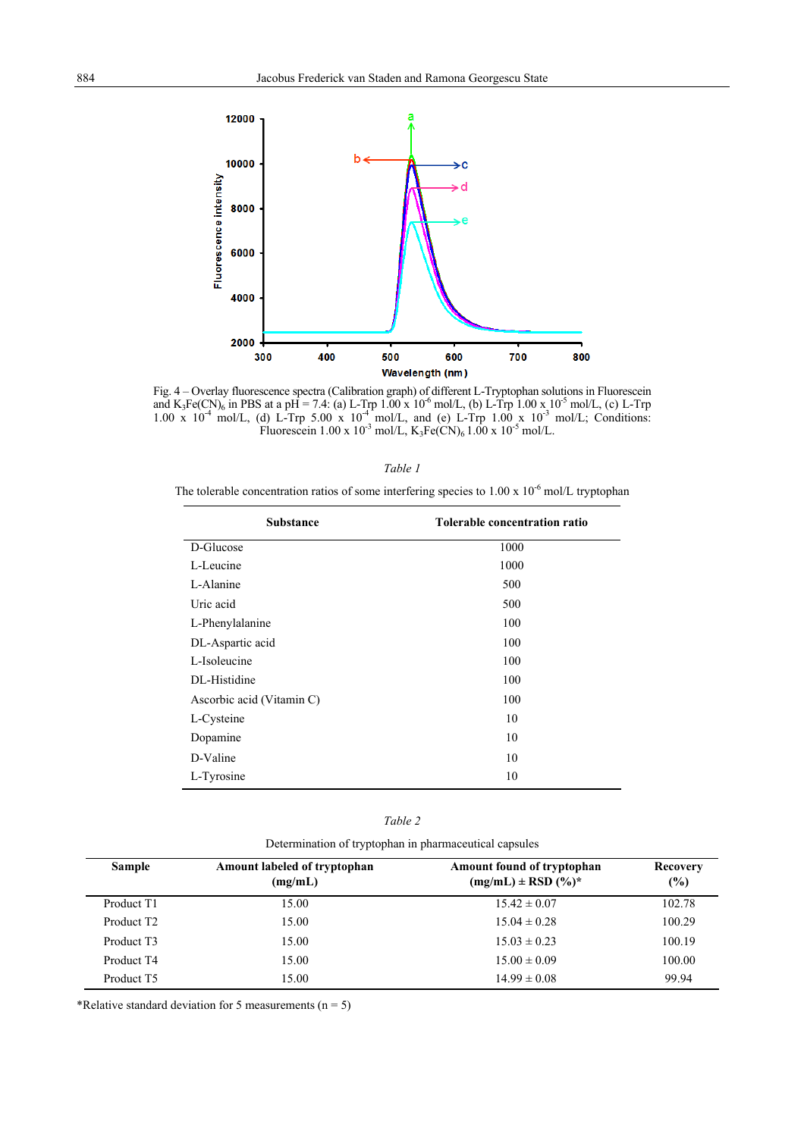

Fig. 4 – Overlay fluorescence spectra (Calibration graph) of different L-Tryptophan solutions in Fluorescein and  $K_3Fe(CN)_6$  in PBS at a pH = 7.4: (a) L-Trp 1.00 x 10<sup>-6</sup> mol/L, (b) L-Trp 1.00 x 10<sup>-5</sup> mol/L, (c) L-Trp 1.00 x  $10^{-4}$  mol/L, (d) L-Trp 5.00 x  $10^{-4}$  mol/L, and (e) L-Trp 1.00 x  $10^{-3}$  mol/L; Conditions: Fluorescein 1.00 x  $10^{-3}$  mol/L, K<sub>3</sub>Fe(CN)<sub>6</sub> 1.00 x  $10^{-5}$  mol/L.

| "<br>r<br>a |  |
|-------------|--|
|-------------|--|

The tolerable concentration ratios of some interfering species to  $1.00 \times 10^{-6}$  mol/L tryptophan

| <b>Substance</b>          | Tolerable concentration ratio |  |  |
|---------------------------|-------------------------------|--|--|
| D-Glucose                 | 1000                          |  |  |
| L-Leucine                 | 1000                          |  |  |
| L-Alanine                 | 500                           |  |  |
| Uric acid                 | 500                           |  |  |
| L-Phenylalanine           | 100                           |  |  |
| DL-Aspartic acid          | 100                           |  |  |
| L-Isoleucine              | 100                           |  |  |
| DL-Histidine              | 100                           |  |  |
| Ascorbic acid (Vitamin C) | 100                           |  |  |
| L-Cysteine                | 10                            |  |  |
| Dopamine                  | 10                            |  |  |
| D-Valine                  | 10                            |  |  |
| L-Tyrosine                | 10                            |  |  |

| <b>Sample</b>          | Amount labeled of tryptophan<br>(mg/mL) | Amount found of tryptophan<br>$(mg/mL) \pm RSD (%)^*$ | Recovery<br>(%) |  |
|------------------------|-----------------------------------------|-------------------------------------------------------|-----------------|--|
| Product T1             | 15.00                                   | $15.42 \pm 0.07$                                      | 102.78          |  |
| Product T <sub>2</sub> | 15.00                                   | $15.04 \pm 0.28$                                      | 100.29          |  |
| Product T3             | 15.00                                   | $15.03 \pm 0.23$                                      | 100.19          |  |
| Product T4             | 15.00                                   | $15.00 \pm 0.09$                                      | 100.00          |  |
| Product T5             | 15.00                                   | $14.99 \pm 0.08$                                      | 99.94           |  |

\*Relative standard deviation for 5 measurements ( $n = 5$ )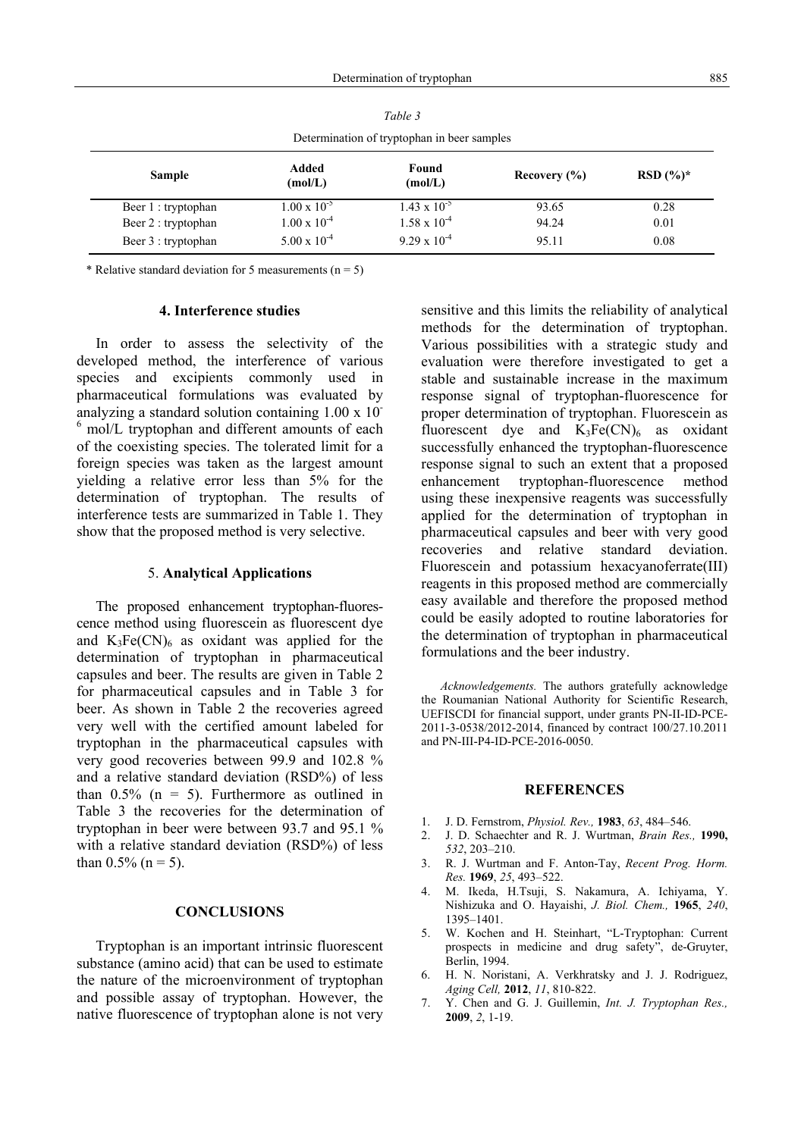|                                             |                       | t apie 3              |                  |              |  |  |  |  |
|---------------------------------------------|-----------------------|-----------------------|------------------|--------------|--|--|--|--|
| Determination of tryptophan in beer samples |                       |                       |                  |              |  |  |  |  |
| <b>Sample</b>                               | Added<br>(mol/L)      | Found<br>(mol/L)      | Recovery $(\% )$ | RSD $(\%)^*$ |  |  |  |  |
| Beer 1 : tryptophan                         | $1.00 \times 10^{-5}$ | $1.43 \times 10^{-5}$ | 93.65            | 0.28         |  |  |  |  |
| Beer 2 : tryptophan                         | $1.00 \times 10^{-4}$ | $1.58 \times 10^{-4}$ | 94.24            | 0.01         |  |  |  |  |
| Beer 3 : tryptophan                         | $5.00 \times 10^{-4}$ | $9.29 \times 10^{-4}$ | 95.11            | 0.08         |  |  |  |  |

*Table 3*

\* Relative standard deviation for 5 measurements ( $n = 5$ )

#### **4. Interference studies**

 In order to assess the selectivity of the developed method, the interference of various species and excipients commonly used in pharmaceutical formulations was evaluated by analyzing a standard solution containing 1.00 x 10- <sup>6</sup> mol/L tryptophan and different amounts of each of the coexisting species. The tolerated limit for a foreign species was taken as the largest amount yielding a relative error less than 5% for the determination of tryptophan. The results of interference tests are summarized in Table 1. They show that the proposed method is very selective.

## 5. **Analytical Applications**

 The proposed enhancement tryptophan-fluorescence method using fluorescein as fluorescent dye and  $K_3Fe(CN)_6$  as oxidant was applied for the determination of tryptophan in pharmaceutical capsules and beer. The results are given in Table 2 for pharmaceutical capsules and in Table 3 for beer. As shown in Table 2 the recoveries agreed very well with the certified amount labeled for tryptophan in the pharmaceutical capsules with very good recoveries between 99.9 and 102.8 % and a relative standard deviation (RSD%) of less than  $0.5\%$  (n = 5). Furthermore as outlined in Table 3 the recoveries for the determination of tryptophan in beer were between 93.7 and 95.1 % with a relative standard deviation (RSD%) of less than  $0.5\%$  (n = 5).

# **CONCLUSIONS**

 Tryptophan is an important intrinsic fluorescent substance (amino acid) that can be used to estimate the nature of the microenvironment of tryptophan and possible assay of tryptophan. However, the native fluorescence of tryptophan alone is not very sensitive and this limits the reliability of analytical methods for the determination of tryptophan. Various possibilities with a strategic study and evaluation were therefore investigated to get a stable and sustainable increase in the maximum response signal of tryptophan-fluorescence for proper determination of tryptophan. Fluorescein as fluorescent dye and  $K_3Fe(CN)_6$  as oxidant successfully enhanced the tryptophan-fluorescence response signal to such an extent that a proposed enhancement tryptophan-fluorescence method using these inexpensive reagents was successfully applied for the determination of tryptophan in pharmaceutical capsules and beer with very good recoveries and relative standard deviation. Fluorescein and potassium hexacyanoferrate(III) reagents in this proposed method are commercially easy available and therefore the proposed method could be easily adopted to routine laboratories for the determination of tryptophan in pharmaceutical formulations and the beer industry.

*Acknowledgements.* The authors gratefully acknowledge the Roumanian National Authority for Scientific Research, UEFISCDI for financial support, under grants PN-II-ID-PCE-2011-3-0538/2012-2014, financed by contract 100/27.10.2011 and PN-III-P4-ID-PCE-2016-0050.

# **REFERENCES**

- 1. J. D. Fernstrom, *Physiol. Rev.,* **1983**, *63*, 484–546.
- 2. J. D. Schaechter and R. J. Wurtman, *Brain Res.,* **1990,** *532*, 203–210.
- 3. R. J. Wurtman and F. Anton-Tay, *Recent Prog. Horm. Res.* **1969**, *25*, 493–522.
- 4. M. Ikeda, H.Tsuji, S. Nakamura, A. Ichiyama, Y. Nishizuka and O. Hayaishi, *J. Biol. Chem.,* **1965**, *240*, 1395–1401.
- 5. W. Kochen and H. Steinhart, "L-Tryptophan: Current prospects in medicine and drug safety", de-Gruyter, Berlin, 1994.
- 6. H. N. Noristani, A. Verkhratsky and J. J. Rodriguez, *Aging Cell,* **2012**, *11*, 810-822.
- 7. Y. Chen and G. J. Guillemin, *Int. J. Tryptophan Res.,* **2009**, *2*, 1-19.